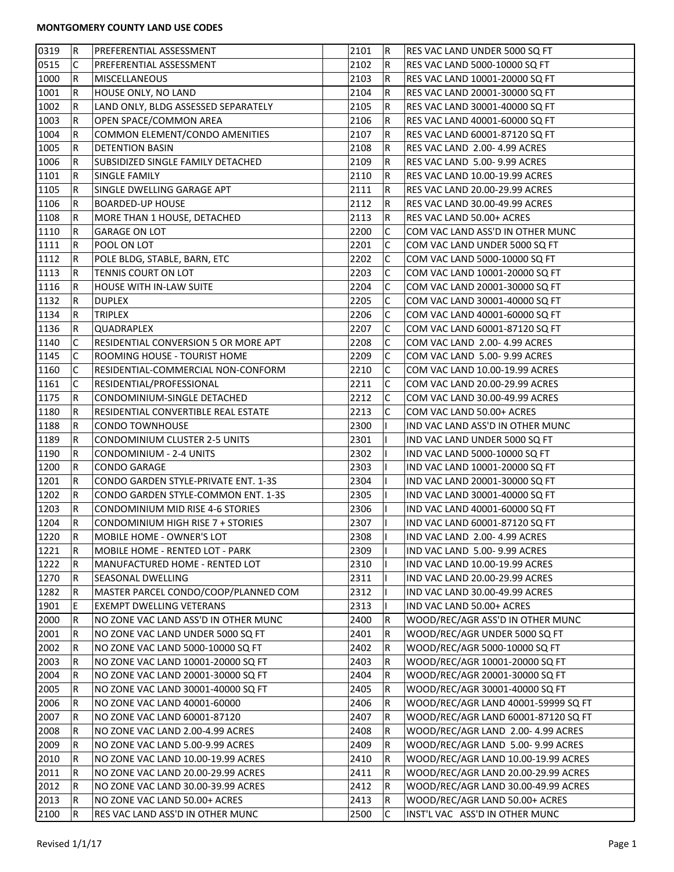## **MONTGOMERY COUNTY LAND USE CODES**

| 0319 | lR.         | PREFERENTIAL ASSESSMENT              | 2101 | R               | RES VAC LAND UNDER 5000 SQ FT         |
|------|-------------|--------------------------------------|------|-----------------|---------------------------------------|
| 0515 | C           | PREFERENTIAL ASSESSMENT              | 2102 | R               | RES VAC LAND 5000-10000 SQ FT         |
| 1000 | $\mathsf R$ | <b>MISCELLANEOUS</b>                 | 2103 | R               | RES VAC LAND 10001-20000 SQ FT        |
| 1001 | $\mathsf R$ | HOUSE ONLY, NO LAND                  | 2104 | R               | RES VAC LAND 20001-30000 SQ FT        |
| 1002 | R           | LAND ONLY, BLDG ASSESSED SEPARATELY  | 2105 | R               | RES VAC LAND 30001-40000 SQ FT        |
| 1003 | R           | OPEN SPACE/COMMON AREA               | 2106 | R               | RES VAC LAND 40001-60000 SQ FT        |
| 1004 | R           | COMMON ELEMENT/CONDO AMENITIES       | 2107 | R               | RES VAC LAND 60001-87120 SQ FT        |
| 1005 | R           | DETENTION BASIN                      | 2108 | R               | RES VAC LAND 2.00-4.99 ACRES          |
| 1006 | R           | SUBSIDIZED SINGLE FAMILY DETACHED    | 2109 | R               | RES VAC LAND 5.00-9.99 ACRES          |
| 1101 | R           | SINGLE FAMILY                        | 2110 | R               | RES VAC LAND 10.00-19.99 ACRES        |
| 1105 | R           | SINGLE DWELLING GARAGE APT           | 2111 | R               | RES VAC LAND 20.00-29.99 ACRES        |
| 1106 | R           | <b>BOARDED-UP HOUSE</b>              | 2112 | R               | <b>RES VAC LAND 30.00-49.99 ACRES</b> |
| 1108 | R           | MORE THAN 1 HOUSE, DETACHED          | 2113 | R               | RES VAC LAND 50.00+ ACRES             |
| 1110 | $\mathsf R$ | <b>GARAGE ON LOT</b>                 | 2200 | C               | COM VAC LAND ASS'D IN OTHER MUNC      |
| 1111 | IR.         | POOL ON LOT                          | 2201 | C               | COM VAC LAND UNDER 5000 SQ FT         |
| 1112 | R           | POLE BLDG, STABLE, BARN, ETC         | 2202 | C               | COM VAC LAND 5000-10000 SQ FT         |
| 1113 | R           | TENNIS COURT ON LOT                  | 2203 | С               | COM VAC LAND 10001-20000 SQ FT        |
| 1116 | R           | <b>HOUSE WITH IN-LAW SUITE</b>       | 2204 | С               | COM VAC LAND 20001-30000 SQ FT        |
|      |             |                                      | 2205 | С               |                                       |
| 1132 | R           | <b>DUPLEX</b>                        |      |                 | COM VAC LAND 30001-40000 SQ FT        |
| 1134 | R           | TRIPLEX                              | 2206 | С               | COM VAC LAND 40001-60000 SQ FT        |
| 1136 | $\mathsf R$ | QUADRAPLEX                           | 2207 | С               | COM VAC LAND 60001-87120 SQ FT        |
| 1140 | C           | RESIDENTIAL CONVERSION 5 OR MORE APT | 2208 | C               | COM VAC LAND 2.00-4.99 ACRES          |
| 1145 | C           | ROOMING HOUSE - TOURIST HOME         | 2209 | С               | COM VAC LAND 5.00-9.99 ACRES          |
| 1160 | C           | RESIDENTIAL-COMMERCIAL NON-CONFORM   | 2210 | С               | COM VAC LAND 10.00-19.99 ACRES        |
| 1161 | C           | RESIDENTIAL/PROFESSIONAL             | 2211 | C               | COM VAC LAND 20.00-29.99 ACRES        |
| 1175 | R           | CONDOMINIUM-SINGLE DETACHED          | 2212 | C               | COM VAC LAND 30.00-49.99 ACRES        |
| 1180 | R           | RESIDENTIAL CONVERTIBLE REAL ESTATE  | 2213 | С               | COM VAC LAND 50.00+ ACRES             |
| 1188 | R           | <b>CONDO TOWNHOUSE</b>               | 2300 |                 | IND VAC LAND ASS'D IN OTHER MUNC      |
| 1189 | R           | CONDOMINIUM CLUSTER 2-5 UNITS        | 2301 |                 | IND VAC LAND UNDER 5000 SQ FT         |
| 1190 | R           | CONDOMINIUM - 2-4 UNITS              | 2302 |                 | IND VAC LAND 5000-10000 SQ FT         |
| 1200 | R           | CONDO GARAGE                         | 2303 |                 | IND VAC LAND 10001-20000 SQ FT        |
| 1201 | R           | CONDO GARDEN STYLE-PRIVATE ENT. 1-3S | 2304 |                 | IND VAC LAND 20001-30000 SQ FT        |
| 1202 | R           | CONDO GARDEN STYLE-COMMON ENT. 1-3S  | 2305 |                 | IND VAC LAND 30001-40000 SQ FT        |
| 1203 | R           | CONDOMINIUM MID RISE 4-6 STORIES     | 2306 |                 | IND VAC LAND 40001-60000 SQ FT        |
| 1204 | ∣R.         | CONDOMINIUM HIGH RISE 7 + STORIES    | 2307 |                 | IND VAC LAND 60001-87120 SQ FT        |
| 1220 | R.          | MOBILE HOME - OWNER'S LOT            | 2308 |                 | IND VAC LAND 2.00-4.99 ACRES          |
| 1221 | R           | MOBILE HOME - RENTED LOT - PARK      | 2309 |                 | IND VAC LAND 5.00-9.99 ACRES          |
| 1222 | R           | MANUFACTURED HOME - RENTED LOT       | 2310 |                 | IND VAC LAND 10.00-19.99 ACRES        |
| 1270 | R           | SEASONAL DWELLING                    | 2311 |                 | IND VAC LAND 20.00-29.99 ACRES        |
| 1282 | R           | MASTER PARCEL CONDO/COOP/PLANNED COM | 2312 |                 | IND VAC LAND 30.00-49.99 ACRES        |
| 1901 | E.          | EXEMPT DWELLING VETERANS             | 2313 |                 | IND VAC LAND 50.00+ ACRES             |
| 2000 | R           | NO ZONE VAC LAND ASS'D IN OTHER MUNC | 2400 | R               | WOOD/REC/AGR ASS'D IN OTHER MUNC      |
| 2001 | R           | NO ZONE VAC LAND UNDER 5000 SQ FT    | 2401 | R               | WOOD/REC/AGR UNDER 5000 SQ FT         |
| 2002 | R           | NO ZONE VAC LAND 5000-10000 SQ FT    | 2402 | R               | WOOD/REC/AGR 5000-10000 SQ FT         |
|      |             | NO ZONE VAC LAND 10001-20000 SQ FT   |      |                 |                                       |
| 2003 | R           |                                      | 2403 | R               | WOOD/REC/AGR 10001-20000 SQ FT        |
| 2004 | ΙR          | NO ZONE VAC LAND 20001-30000 SQ FT   | 2404 | R               | WOOD/REC/AGR 20001-30000 SQ FT        |
| 2005 | R           | NO ZONE VAC LAND 30001-40000 SQ FT   | 2405 | R               | WOOD/REC/AGR 30001-40000 SQ FT        |
| 2006 | R           | NO ZONE VAC LAND 40001-60000         | 2406 | R               | WOOD/REC/AGR LAND 40001-59999 SQ FT   |
| 2007 | R           | NO ZONE VAC LAND 60001-87120         | 2407 | R               | WOOD/REC/AGR LAND 60001-87120 SQ FT   |
| 2008 | R           | NO ZONE VAC LAND 2.00-4.99 ACRES     | 2408 | R               | WOOD/REC/AGR LAND 2.00-4.99 ACRES     |
| 2009 | R           | NO ZONE VAC LAND 5.00-9.99 ACRES     | 2409 | R               | WOOD/REC/AGR LAND 5.00-9.99 ACRES     |
| 2010 | R           | NO ZONE VAC LAND 10.00-19.99 ACRES   | 2410 | R               | WOOD/REC/AGR LAND 10.00-19.99 ACRES   |
| 2011 | R           | NO ZONE VAC LAND 20.00-29.99 ACRES   | 2411 | R               | WOOD/REC/AGR LAND 20.00-29.99 ACRES   |
| 2012 | R           | NO ZONE VAC LAND 30.00-39.99 ACRES   | 2412 | R               | WOOD/REC/AGR LAND 30.00-49.99 ACRES   |
| 2013 | R           | NO ZONE VAC LAND 50.00+ ACRES        | 2413 | $\vert R \vert$ | WOOD/REC/AGR LAND 50.00+ ACRES        |
| 2100 | R           | RES VAC LAND ASS'D IN OTHER MUNC     | 2500 | С               | INST'L VAC ASS'D IN OTHER MUNC        |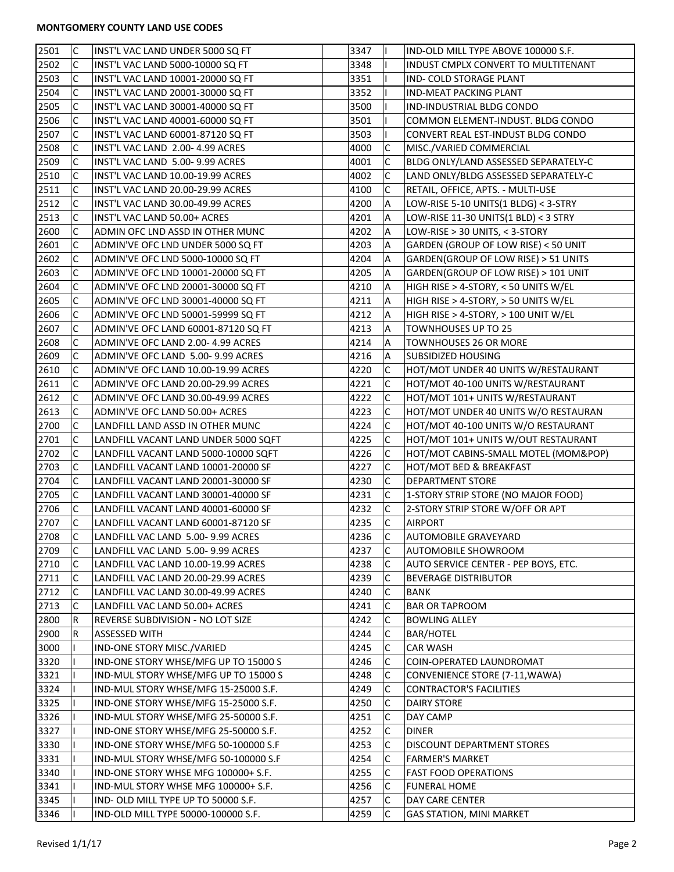| 2501 | C              | INST'L VAC LAND UNDER 5000 SQ FT                                           | 3347 |                | IND-OLD MILL TYPE ABOVE 100000 S.F.  |
|------|----------------|----------------------------------------------------------------------------|------|----------------|--------------------------------------|
| 2502 | С              | INST'L VAC LAND 5000-10000 SQ FT                                           | 3348 |                | INDUST CMPLX CONVERT TO MULTITENANT  |
| 2503 | C              | INST'L VAC LAND 10001-20000 SQ FT                                          | 3351 |                | IND- COLD STORAGE PLANT              |
| 2504 | C              | INST'L VAC LAND 20001-30000 SQ FT                                          | 3352 |                | <b>IND-MEAT PACKING PLANT</b>        |
| 2505 | C              | INST'L VAC LAND 30001-40000 SQ FT                                          | 3500 |                | <b>IND-INDUSTRIAL BLDG CONDO</b>     |
| 2506 | C              | INST'L VAC LAND 40001-60000 SQ FT                                          | 3501 |                | COMMON ELEMENT-INDUST, BLDG CONDO    |
| 2507 | C              | INST'L VAC LAND 60001-87120 SQ FT                                          | 3503 | T              | CONVERT REAL EST-INDUST BLDG CONDO   |
| 2508 | C              | INST'L VAC LAND 2.00-4.99 ACRES                                            | 4000 | C              | MISC./VARIED COMMERCIAL              |
| 2509 | C              | INST'L VAC LAND 5.00-9.99 ACRES                                            | 4001 | С              | BLDG ONLY/LAND ASSESSED SEPARATELY-C |
| 2510 | С              | INST'L VAC LAND 10.00-19.99 ACRES                                          | 4002 | C              | LAND ONLY/BLDG ASSESSED SEPARATELY-C |
| 2511 | C              | INST'L VAC LAND 20.00-29.99 ACRES                                          | 4100 | C              | RETAIL, OFFICE, APTS. - MULTI-USE    |
| 2512 | C              | INST'L VAC LAND 30.00-49.99 ACRES                                          | 4200 | A              | LOW-RISE 5-10 UNITS(1 BLDG) < 3-STRY |
| 2513 | C              | INST'L VAC LAND 50.00+ ACRES                                               | 4201 | $\overline{A}$ | LOW-RISE 11-30 UNITS(1 BLD) < 3 STRY |
| 2600 | C              | ADMIN OFC LND ASSD IN OTHER MUNC                                           | 4202 | $\overline{A}$ | LOW-RISE > 30 UNITS, < 3-STORY       |
| 2601 | C              | ADMIN'VE OFC LND UNDER 5000 SQ FT                                          | 4203 | A              | GARDEN (GROUP OF LOW RISE) < 50 UNIT |
| 2602 | C              | ADMIN'VE OFC LND 5000-10000 SQ FT                                          | 4204 | A              | GARDEN(GROUP OF LOW RISE) > 51 UNITS |
| 2603 | C              | ADMIN'VE OFC LND 10001-20000 SQ FT                                         | 4205 | $\overline{A}$ | GARDEN(GROUP OF LOW RISE) > 101 UNIT |
| 2604 | C              | ADMIN'VE OFC LND 20001-30000 SQ FT                                         | 4210 | A              | HIGH RISE > 4-STORY, < 50 UNITS W/EL |
| 2605 | С              | ADMIN'VE OFC LND 30001-40000 SQ FT                                         | 4211 | Α              | HIGH RISE > 4-STORY, > 50 UNITS W/EL |
| 2606 | С              | ADMIN'VE OFC LND 50001-59999 SQ FT                                         | 4212 | A              | HIGH RISE > 4-STORY, > 100 UNIT W/EL |
| 2607 | C              | ADMIN'VE OFC LAND 60001-87120 SQ FT                                        | 4213 | A              | TOWNHOUSES UP TO 25                  |
| 2608 | C              | ADMIN'VE OFC LAND 2.00-4.99 ACRES                                          | 4214 | A              | <b>TOWNHOUSES 26 OR MORE</b>         |
| 2609 | C              | ADMIN'VE OFC LAND 5.00-9.99 ACRES                                          | 4216 | A              | SUBSIDIZED HOUSING                   |
| 2610 | С              | ADMIN'VE OFC LAND 10.00-19.99 ACRES                                        | 4220 | С              | HOT/MOT UNDER 40 UNITS W/RESTAURANT  |
| 2611 | C              | ADMIN'VE OFC LAND 20.00-29.99 ACRES                                        | 4221 | C              | HOT/MOT 40-100 UNITS W/RESTAURANT    |
| 2612 | С              | ADMIN'VE OFC LAND 30.00-49.99 ACRES                                        | 4222 | $\mathsf{C}$   | HOT/MOT 101+ UNITS W/RESTAURANT      |
| 2613 | C              | ADMIN'VE OFC LAND 50.00+ ACRES                                             | 4223 | C              | HOT/MOT UNDER 40 UNITS W/O RESTAURAN |
| 2700 | C              | LANDFILL LAND ASSD IN OTHER MUNC                                           | 4224 | C              | HOT/MOT 40-100 UNITS W/O RESTAURANT  |
| 2701 | C              | LANDFILL VACANT LAND UNDER 5000 SQFT                                       | 4225 | С              | HOT/MOT 101+ UNITS W/OUT RESTAURANT  |
| 2702 | С              | LANDFILL VACANT LAND 5000-10000 SQFT                                       | 4226 | C              | HOT/MOT CABINS-SMALL MOTEL (MOM&POP) |
| 2703 | C              | LANDFILL VACANT LAND 10001-20000 SF                                        | 4227 | С              | HOT/MOT BED & BREAKFAST              |
| 2704 | C              | LANDFILL VACANT LAND 20001-30000 SF                                        | 4230 | C              | <b>DEPARTMENT STORE</b>              |
| 2705 | C              | LANDFILL VACANT LAND 30001-40000 SF                                        | 4231 | C              | 1-STORY STRIP STORE (NO MAJOR FOOD)  |
| 2706 | C              | LANDFILL VACANT LAND 40001-60000 SF                                        | 4232 | $\mathsf C$    | 2-STORY STRIP STORE W/OFF OR APT     |
| 2707 | C              | LANDFILL VACANT LAND 60001-87120 SF                                        | 4235 | $\mathsf{C}$   | <b>AIRPORT</b>                       |
| 2708 | $\overline{C}$ | LANDFILL VAC LAND 5.00-9.99 ACRES                                          | 4236 | $\mathsf{C}$   | <b>AUTOMOBILE GRAVEYARD</b>          |
| 2709 | C              | LANDFILL VAC LAND 5.00-9.99 ACRES                                          | 4237 | C              | AUTOMOBILE SHOWROOM                  |
| 2710 | C              | LANDFILL VAC LAND 10.00-19.99 ACRES                                        | 4238 | С              | AUTO SERVICE CENTER - PEP BOYS, ETC. |
| 2711 | с              |                                                                            | 4239 | С              | <b>BEVERAGE DISTRIBUTOR</b>          |
| 2712 | с              | LANDFILL VAC LAND 20.00-29.99 ACRES<br>LANDFILL VAC LAND 30.00-49.99 ACRES | 4240 | С              | BANK                                 |
| 2713 | C              | LANDFILL VAC LAND 50.00+ ACRES                                             | 4241 | С              | <b>BAR OR TAPROOM</b>                |
| 2800 | R              | REVERSE SUBDIVISION - NO LOT SIZE                                          | 4242 | С              | <b>BOWLING ALLEY</b>                 |
|      |                |                                                                            |      |                |                                      |
| 2900 | R              | ASSESSED WITH                                                              | 4244 | С              | <b>BAR/HOTEL</b><br><b>CAR WASH</b>  |
| 3000 |                | IND-ONE STORY MISC./VARIED                                                 | 4245 | С              |                                      |
| 3320 |                | IND-ONE STORY WHSE/MFG UP TO 15000 S                                       | 4246 | C              | COIN-OPERATED LAUNDROMAT             |
| 3321 |                | IND-MUL STORY WHSE/MFG UP TO 15000 S                                       | 4248 | C              | CONVENIENCE STORE (7-11, WAWA)       |
| 3324 |                | IND-MUL STORY WHSE/MFG 15-25000 S.F.                                       | 4249 | C              | <b>CONTRACTOR'S FACILITIES</b>       |
| 3325 |                | IND-ONE STORY WHSE/MFG 15-25000 S.F.                                       | 4250 | С              | <b>DAIRY STORE</b>                   |
| 3326 |                | IND-MUL STORY WHSE/MFG 25-50000 S.F.                                       | 4251 | С              | DAY CAMP                             |
| 3327 |                | IND-ONE STORY WHSE/MFG 25-50000 S.F.                                       | 4252 | С              | <b>DINER</b>                         |
| 3330 |                | IND-ONE STORY WHSE/MFG 50-100000 S.F                                       | 4253 | С              | DISCOUNT DEPARTMENT STORES           |
| 3331 |                | IND-MUL STORY WHSE/MFG 50-100000 S.F                                       | 4254 | C              | <b>FARMER'S MARKET</b>               |
| 3340 |                | IND-ONE STORY WHSE MFG 100000+ S.F.                                        | 4255 | С              | <b>FAST FOOD OPERATIONS</b>          |
| 3341 |                | IND-MUL STORY WHSE MFG 100000+ S.F.                                        | 4256 | С              | <b>FUNERAL HOME</b>                  |
| 3345 |                | IND- OLD MILL TYPE UP TO 50000 S.F.                                        | 4257 | $\mathsf C$    | DAY CARE CENTER                      |
| 3346 |                | IND-OLD MILL TYPE 50000-100000 S.F.                                        | 4259 | C              | <b>GAS STATION, MINI MARKET</b>      |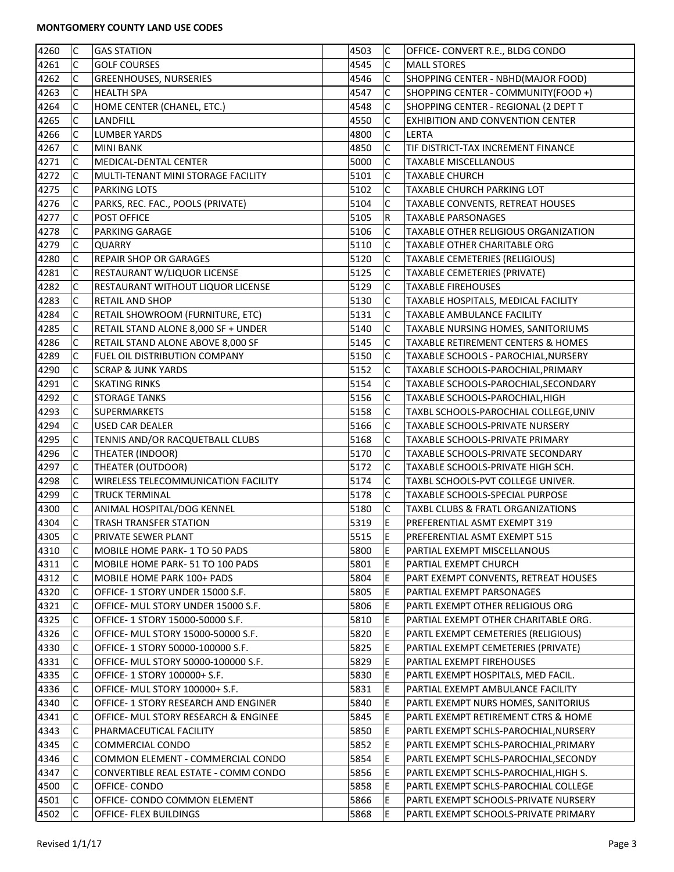## **MONTGOMERY COUNTY LAND USE CODES**

| 4260 | lc.          | <b>GAS STATION</b>                   | 4503 | $\mathsf{C}$ | OFFICE- CONVERT R.E., BLDG CONDO                          |
|------|--------------|--------------------------------------|------|--------------|-----------------------------------------------------------|
| 4261 | C            | <b>GOLF COURSES</b>                  | 4545 | С            | <b>MALL STORES</b>                                        |
| 4262 | C            | <b>GREENHOUSES, NURSERIES</b>        | 4546 | C            | SHOPPING CENTER - NBHD(MAJOR FOOD)                        |
| 4263 | C            | <b>HEALTH SPA</b>                    | 4547 | $\mathsf{C}$ | SHOPPING CENTER - COMMUNITY(FOOD +)                       |
| 4264 | C            | HOME CENTER (CHANEL, ETC.)           | 4548 | C            | SHOPPING CENTER - REGIONAL (2 DEPT T                      |
| 4265 | C            | LANDFILL                             | 4550 | C            | <b>EXHIBITION AND CONVENTION CENTER</b>                   |
| 4266 | C            | <b>LUMBER YARDS</b>                  | 4800 | C            | LERTA                                                     |
| 4267 | C            | MINI BANK                            | 4850 | С            | TIF DISTRICT-TAX INCREMENT FINANCE                        |
| 4271 | C            | MEDICAL-DENTAL CENTER                | 5000 | С            | <b>TAXABLE MISCELLANOUS</b>                               |
| 4272 | C            | MULTI-TENANT MINI STORAGE FACILITY   | 5101 | С            | <b>TAXABLE CHURCH</b>                                     |
| 4275 | C            | <b>PARKING LOTS</b>                  | 5102 | С            | TAXABLE CHURCH PARKING LOT                                |
| 4276 | C            | PARKS, REC. FAC., POOLS (PRIVATE)    | 5104 | C            | TAXABLE CONVENTS, RETREAT HOUSES                          |
| 4277 | C            | POST OFFICE                          | 5105 | R            | <b>TAXABLE PARSONAGES</b>                                 |
| 4278 | C            | PARKING GARAGE                       | 5106 | $\mathsf C$  | <b>TAXABLE OTHER RELIGIOUS ORGANIZATION</b>               |
| 4279 | C            | <b>QUARRY</b>                        | 5110 | C            | <b>TAXABLE OTHER CHARITABLE ORG</b>                       |
| 4280 | C            | <b>REPAIR SHOP OR GARAGES</b>        | 5120 | C            | TAXABLE CEMETERIES (RELIGIOUS)                            |
|      | C            |                                      |      |              |                                                           |
| 4281 |              | RESTAURANT W/LIQUOR LICENSE          | 5125 | С            | TAXABLE CEMETERIES (PRIVATE)<br><b>TAXABLE FIREHOUSES</b> |
| 4282 | С            | RESTAURANT WITHOUT LIQUOR LICENSE    | 5129 | C            |                                                           |
| 4283 | C            | <b>RETAIL AND SHOP</b>               | 5130 | $\mathsf C$  | TAXABLE HOSPITALS, MEDICAL FACILITY                       |
| 4284 | C            | RETAIL SHOWROOM (FURNITURE, ETC)     | 5131 | С            | <b>TAXABLE AMBULANCE FACILITY</b>                         |
| 4285 | C            | RETAIL STAND ALONE 8,000 SF + UNDER  | 5140 | С            | TAXABLE NURSING HOMES, SANITORIUMS                        |
| 4286 | C            | RETAIL STAND ALONE ABOVE 8,000 SF    | 5145 | C            | <b>TAXABLE RETIREMENT CENTERS &amp; HOMES</b>             |
| 4289 | C            | FUEL OIL DISTRIBUTION COMPANY        | 5150 | C            | TAXABLE SCHOOLS - PAROCHIAL, NURSERY                      |
| 4290 | C            | <b>SCRAP &amp; JUNK YARDS</b>        | 5152 | $\mathsf{C}$ | TAXABLE SCHOOLS-PAROCHIAL, PRIMARY                        |
| 4291 | C            | <b>SKATING RINKS</b>                 | 5154 | C            | TAXABLE SCHOOLS-PAROCHIAL, SECONDARY                      |
| 4292 | C            | <b>STORAGE TANKS</b>                 | 5156 | C            | TAXABLE SCHOOLS-PAROCHIAL, HIGH                           |
| 4293 | C            | SUPERMARKETS                         | 5158 | С            | TAXBL SCHOOLS-PAROCHIAL COLLEGE, UNIV                     |
| 4294 | C            | USED CAR DEALER                      | 5166 | C            | TAXABLE SCHOOLS-PRIVATE NURSERY                           |
| 4295 | C            | TENNIS AND/OR RACQUETBALL CLUBS      | 5168 | C            | TAXABLE SCHOOLS-PRIVATE PRIMARY                           |
| 4296 | C            | THEATER (INDOOR)                     | 5170 | С            | TAXABLE SCHOOLS-PRIVATE SECONDARY                         |
| 4297 | C            | THEATER (OUTDOOR)                    | 5172 | С            | TAXABLE SCHOOLS-PRIVATE HIGH SCH.                         |
| 4298 | C            | WIRELESS TELECOMMUNICATION FACILITY  | 5174 | C            | TAXBL SCHOOLS-PVT COLLEGE UNIVER.                         |
| 4299 | C            | <b>TRUCK TERMINAL</b>                | 5178 | $\mathsf C$  | TAXABLE SCHOOLS-SPECIAL PURPOSE                           |
| 4300 | C            | ANIMAL HOSPITAL/DOG KENNEL           | 5180 | $\mathsf C$  | <b>TAXBL CLUBS &amp; FRATL ORGANIZATIONS</b>              |
| 4304 | lc           | TRASH TRANSFER STATION               | 5319 | E            | PREFERENTIAL ASMT EXEMPT 319                              |
| 4305 | $\mathsf{C}$ | PRIVATE SEWER PLANT                  | 5515 | E            | PREFERENTIAL ASMT EXEMPT 515                              |
| 4310 | С            | MOBILE HOME PARK- 1 TO 50 PADS       | 5800 | Ε            | PARTIAL EXEMPT MISCELLANOUS                               |
| 4311 | С            | MOBILE HOME PARK- 51 TO 100 PADS     | 5801 | E            | PARTIAL EXEMPT CHURCH                                     |
| 4312 | C            | MOBILE HOME PARK 100+ PADS           | 5804 | E            | PART EXEMPT CONVENTS, RETREAT HOUSES                      |
| 4320 | C            | OFFICE- 1 STORY UNDER 15000 S.F.     | 5805 | Е            | PARTIAL EXEMPT PARSONAGES                                 |
| 4321 | C            | OFFICE- MUL STORY UNDER 15000 S.F.   | 5806 | E            | PARTL EXEMPT OTHER RELIGIOUS ORG                          |
| 4325 | C            | OFFICE- 1 STORY 15000-50000 S.F.     | 5810 | Е            | PARTIAL EXEMPT OTHER CHARITABLE ORG.                      |
| 4326 | C            | OFFICE- MUL STORY 15000-50000 S.F.   | 5820 | E            | PARTL EXEMPT CEMETERIES (RELIGIOUS)                       |
| 4330 | C            | OFFICE- 1 STORY 50000-100000 S.F.    | 5825 | E            | PARTIAL EXEMPT CEMETERIES (PRIVATE)                       |
| 4331 | C            | OFFICE- MUL STORY 50000-100000 S.F.  | 5829 | E            | PARTIAL EXEMPT FIREHOUSES                                 |
| 4335 | C            | OFFICE- 1 STORY 100000+ S.F.         | 5830 | E            | PARTL EXEMPT HOSPITALS, MED FACIL.                        |
| 4336 | С            | OFFICE- MUL STORY 100000+ S.F.       | 5831 | E            | PARTIAL EXEMPT AMBULANCE FACILITY                         |
| 4340 | С            | OFFICE- 1 STORY RESEARCH AND ENGINER | 5840 | E            | PARTL EXEMPT NURS HOMES, SANITORIUS                       |
| 4341 | C            | OFFICE- MUL STORY RESEARCH & ENGINEE | 5845 | E            | PARTL EXEMPT RETIREMENT CTRS & HOME                       |
| 4343 | C            | PHARMACEUTICAL FACILITY              | 5850 | Е            | PARTL EXEMPT SCHLS-PAROCHIAL, NURSERY                     |
| 4345 | C            | COMMERCIAL CONDO                     | 5852 | Е            | PARTL EXEMPT SCHLS-PAROCHIAL, PRIMARY                     |
| 4346 | C            |                                      | 5854 | E            |                                                           |
|      |              | COMMON ELEMENT - COMMERCIAL CONDO    |      |              | PARTL EXEMPT SCHLS-PAROCHIAL, SECONDY                     |
| 4347 | C            | CONVERTIBLE REAL ESTATE - COMM CONDO | 5856 | E            | PARTL EXEMPT SCHLS-PAROCHIAL, HIGH S.                     |
| 4500 | C            | OFFICE- CONDO                        | 5858 | E            | PARTL EXEMPT SCHLS-PAROCHIAL COLLEGE                      |
| 4501 | lC.          | OFFICE- CONDO COMMON ELEMENT         | 5866 | E            | PARTL EXEMPT SCHOOLS-PRIVATE NURSERY                      |
| 4502 | C            | OFFICE- FLEX BUILDINGS               | 5868 | E            | PARTL EXEMPT SCHOOLS-PRIVATE PRIMARY                      |